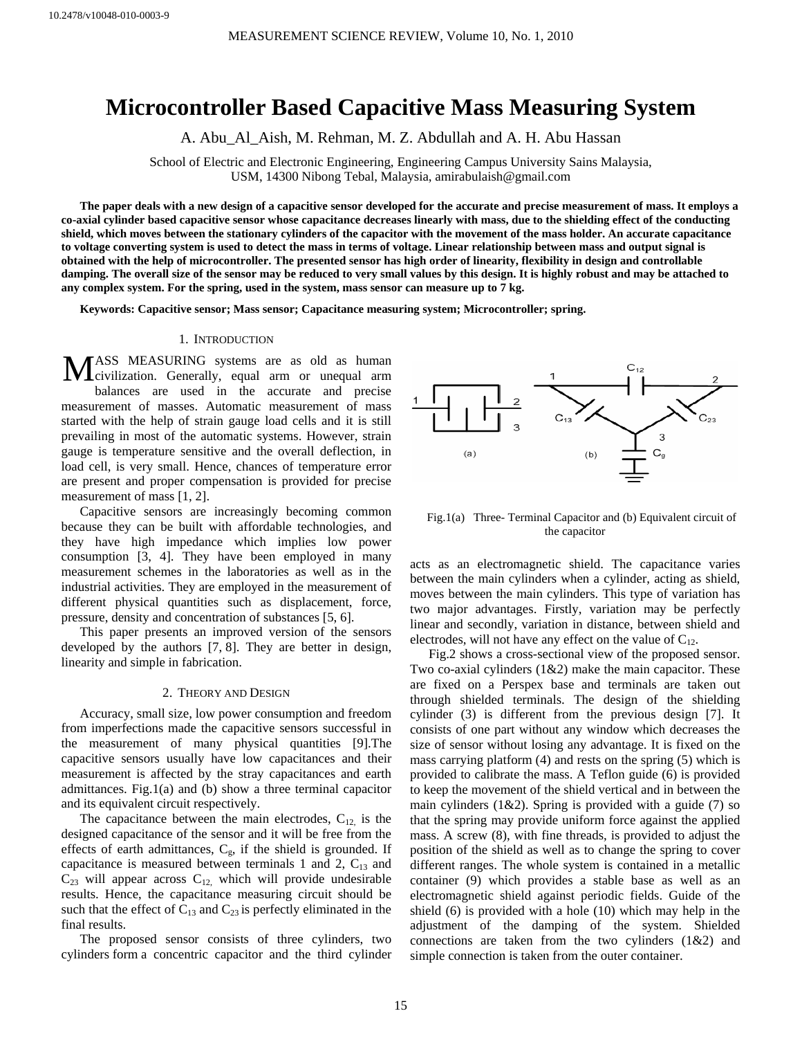# **Microcontroller Based Capacitive Mass Measuring System**

A. Abu\_Al\_Aish, M. Rehman, M. Z. Abdullah and A. H. Abu Hassan

School of Electric and Electronic Engineering, Engineering Campus University Sains Malaysia, USM, 14300 Nibong Tebal, Malaysia, amirabulaish@gmail.com

**The paper deals with a new design of a capacitive sensor developed for the accurate and precise measurement of mass. It employs a co-axial cylinder based capacitive sensor whose capacitance decreases linearly with mass, due to the shielding effect of the conducting shield, which moves between the stationary cylinders of the capacitor with the movement of the mass holder. An accurate capacitance to voltage converting system is used to detect the mass in terms of voltage. Linear relationship between mass and output signal is obtained with the help of microcontroller. The presented sensor has high order of linearity, flexibility in design and controllable damping. The overall size of the sensor may be reduced to very small values by this design. It is highly robust and may be attached to any complex system. For the spring, used in the system, mass sensor can measure up to 7 kg.** 

**Keywords: Capacitive sensor; Mass sensor; Capacitance measuring system; Microcontroller; spring.** 

# 1. INTRODUCTION

ASS MEASURING systems are as old as human MASS MEASURING systems are as old as human civilization. Generally, equal arm or unequal arm balances are used in the accurate and precise measurement of masses. Automatic measurement of mass started with the help of strain gauge load cells and it is still prevailing in most of the automatic systems. However, strain gauge is temperature sensitive and the overall deflection, in load cell, is very small. Hence, chances of temperature error are present and proper compensation is provided for precise measurement of mass [1, 2].

Capacitive sensors are increasingly becoming common because they can be built with affordable technologies, and they have high impedance which implies low power consumption [3, 4]. They have been employed in many measurement schemes in the laboratories as well as in the industrial activities. They are employed in the measurement of different physical quantities such as displacement, force, pressure, density and concentration of substances [5, 6].

This paper presents an improved version of the sensors developed by the authors [7, 8]. They are better in design, linearity and simple in fabrication.

#### 2. THEORY AND DESIGN

Accuracy, small size, low power consumption and freedom from imperfections made the capacitive sensors successful in the measurement of many physical quantities [9].The capacitive sensors usually have low capacitances and their measurement is affected by the stray capacitances and earth admittances. Fig.1(a) and (b) show a three terminal capacitor and its equivalent circuit respectively.

The capacitance between the main electrodes,  $C_{12}$  is the designed capacitance of the sensor and it will be free from the effects of earth admittances,  $C_{g}$ , if the shield is grounded. If capacitance is measured between terminals 1 and 2,  $C_{13}$  and  $C_{23}$  will appear across  $C_{12}$ , which will provide undesirable results. Hence, the capacitance measuring circuit should be such that the effect of  $C_{13}$  and  $C_{23}$  is perfectly eliminated in the final results.

The proposed sensor consists of three cylinders, two cylinders form a concentric capacitor and the third cylinder



Fig.1(a) Three- Terminal Capacitor and (b) Equivalent circuit of the capacitor

acts as an electromagnetic shield. The capacitance varies between the main cylinders when a cylinder, acting as shield, moves between the main cylinders. This type of variation has two major advantages. Firstly, variation may be perfectly linear and secondly, variation in distance, between shield and electrodes, will not have any effect on the value of  $C_{12}$ .

Fig.2 shows a cross-sectional view of the proposed sensor. Two co-axial cylinders (1&2) make the main capacitor. These are fixed on a Perspex base and terminals are taken out through shielded terminals. The design of the shielding cylinder (3) is different from the previous design [7]. It consists of one part without any window which decreases the size of sensor without losing any advantage. It is fixed on the mass carrying platform (4) and rests on the spring (5) which is provided to calibrate the mass. A Teflon guide (6) is provided to keep the movement of the shield vertical and in between the main cylinders  $(1&2)$ . Spring is provided with a guide (7) so that the spring may provide uniform force against the applied mass. A screw (8), with fine threads, is provided to adjust the position of the shield as well as to change the spring to cover different ranges. The whole system is contained in a metallic container (9) which provides a stable base as well as an electromagnetic shield against periodic fields. Guide of the shield (6) is provided with a hole (10) which may help in the adjustment of the damping of the system. Shielded connections are taken from the two cylinders (1&2) and simple connection is taken from the outer container.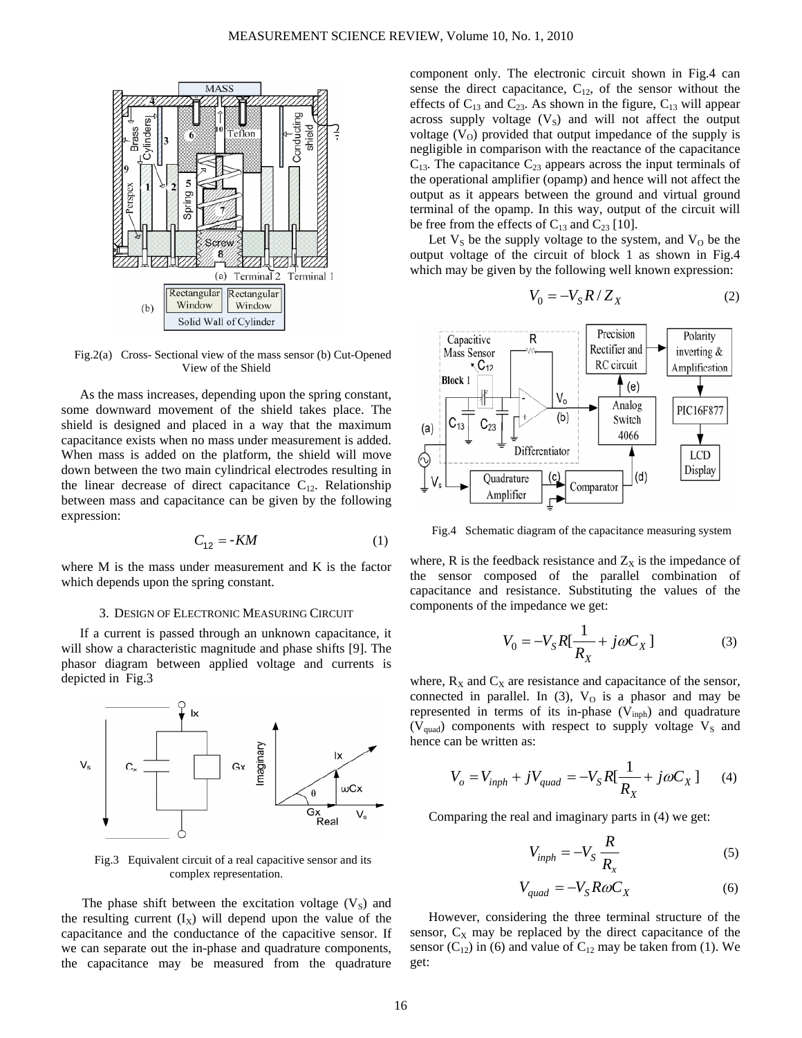

Fig.2(a) Cross- Sectional view of the mass sensor (b) Cut-Opened View of the Shield

As the mass increases, depending upon the spring constant, some downward movement of the shield takes place. The shield is designed and placed in a way that the maximum capacitance exists when no mass under measurement is added. When mass is added on the platform, the shield will move down between the two main cylindrical electrodes resulting in the linear decrease of direct capacitance  $C_{12}$ . Relationship between mass and capacitance can be given by the following expression:

$$
C_{12} = -KM \tag{1}
$$

where M is the mass under measurement and K is the factor which depends upon the spring constant.

#### 3. DESIGN OF ELECTRONIC MEASURING CIRCUIT

If a current is passed through an unknown capacitance, it will show a characteristic magnitude and phase shifts [9]. The phasor diagram between applied voltage and currents is depicted in Fig.3



Fig.3 Equivalent circuit of a real capacitive sensor and its complex representation.

The phase shift between the excitation voltage  $(V_s)$  and the resulting current  $(I_X)$  will depend upon the value of the capacitance and the conductance of the capacitive sensor. If we can separate out the in-phase and quadrature components, the capacitance may be measured from the quadrature

component only. The electronic circuit shown in Fig.4 can sense the direct capacitance,  $C_{12}$ , of the sensor without the effects of  $C_{13}$  and  $C_{23}$ . As shown in the figure,  $C_{13}$  will appear across supply voltage  $(V<sub>S</sub>)$  and will not affect the output voltage  $(V<sub>o</sub>)$  provided that output impedance of the supply is negligible in comparison with the reactance of the capacitance  $C_{13}$ . The capacitance  $C_{23}$  appears across the input terminals of the operational amplifier (opamp) and hence will not affect the output as it appears between the ground and virtual ground terminal of the opamp. In this way, output of the circuit will be free from the effects of  $C_{13}$  and  $C_{23}$  [10].

Let  $V<sub>S</sub>$  be the supply voltage to the system, and  $V<sub>O</sub>$  be the output voltage of the circuit of block 1 as shown in Fig.4 which may be given by the following well known expression:

$$
V_0 = -V_S R / Z_X \tag{2}
$$



Fig.4 Schematic diagram of the capacitance measuring system

where, R is the feedback resistance and  $Z<sub>X</sub>$  is the impedance of the sensor composed of the parallel combination of capacitance and resistance. Substituting the values of the components of the impedance we get:

$$
V_0 = -V_S R[\frac{1}{R_X} + j\omega C_X]
$$
 (3)

where,  $R_X$  and  $C_X$  are resistance and capacitance of the sensor, connected in parallel. In  $(3)$ ,  $V<sub>O</sub>$  is a phasor and may be represented in terms of its in-phase  $(V_{\text{inph}})$  and quadrature ( $V<sub>quad</sub>$ ) components with respect to supply voltage  $V<sub>S</sub>$  and hence can be written as:

$$
V_o = V_{inph} + jV_{quad} = -V_S R \left[ \frac{1}{R_X} + j\omega C_X \right] \tag{4}
$$

Comparing the real and imaginary parts in (4) we get:

$$
V_{inph} = -V_S \frac{R}{R_x}
$$
 (5)

$$
V_{quad} = -V_{S} R \omega C_{X}
$$
 (6)

However, considering the three terminal structure of the sensor,  $C_X$  may be replaced by the direct capacitance of the sensor  $(C_{12})$  in (6) and value of  $C_{12}$  may be taken from (1). We get: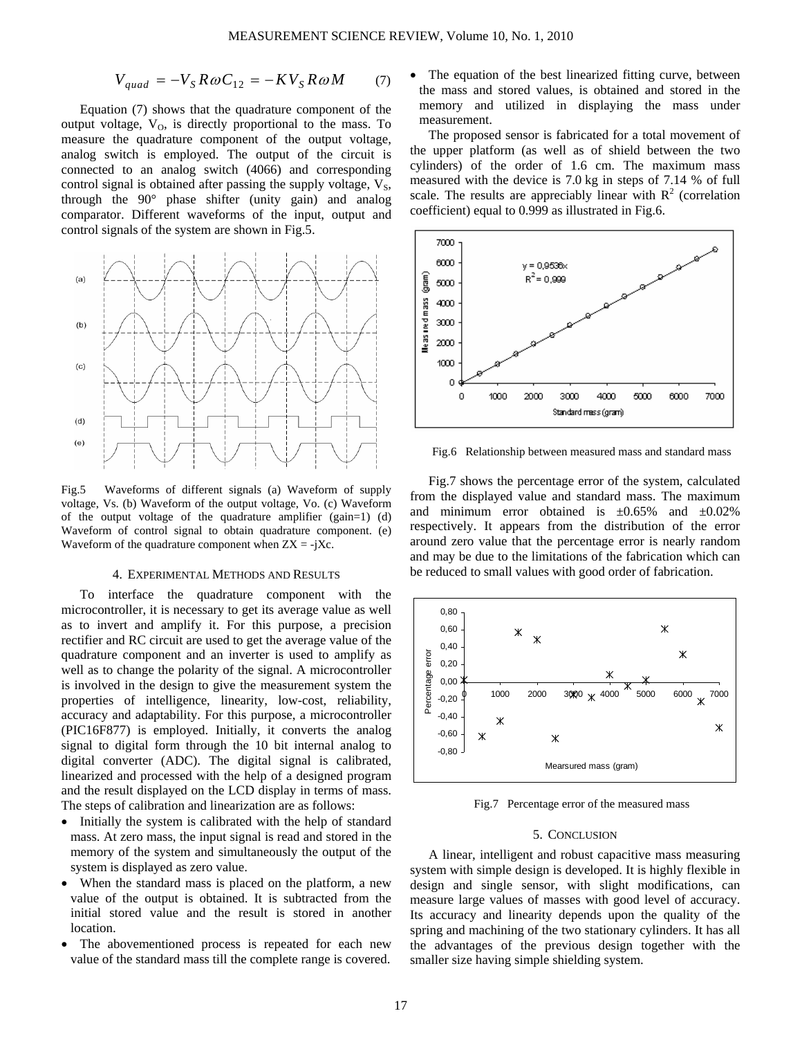$$
V_{quad} = -V_{S}R\omega C_{12} = -KV_{S}R\omega M \tag{7}
$$

Equation (7) shows that the quadrature component of the output voltage,  $V<sub>0</sub>$ , is directly proportional to the mass. To measure the quadrature component of the output voltage, analog switch is employed. The output of the circuit is connected to an analog switch (4066) and corresponding control signal is obtained after passing the supply voltage,  $V_s$ , through the 90° phase shifter (unity gain) and analog comparator. Different waveforms of the input, output and control signals of the system are shown in Fig.5.



Fig.5 Waveforms of different signals (a) Waveform of supply voltage, Vs. (b) Waveform of the output voltage, Vo. (c) Waveform of the output voltage of the quadrature amplifier (gain=1) (d) Waveform of control signal to obtain quadrature component. (e) Waveform of the quadrature component when  $ZX = -jXc$ .

#### 4. EXPERIMENTAL METHODS AND RESULTS

To interface the quadrature component with the microcontroller, it is necessary to get its average value as well as to invert and amplify it. For this purpose, a precision rectifier and RC circuit are used to get the average value of the quadrature component and an inverter is used to amplify as well as to change the polarity of the signal. A microcontroller is involved in the design to give the measurement system the properties of intelligence, linearity, low-cost, reliability, accuracy and adaptability. For this purpose, a microcontroller (PIC16F877) is employed. Initially, it converts the analog signal to digital form through the 10 bit internal analog to digital converter (ADC). The digital signal is calibrated, linearized and processed with the help of a designed program and the result displayed on the LCD display in terms of mass. The steps of calibration and linearization are as follows:

- Initially the system is calibrated with the help of standard mass. At zero mass, the input signal is read and stored in the memory of the system and simultaneously the output of the system is displayed as zero value.
- When the standard mass is placed on the platform, a new value of the output is obtained. It is subtracted from the initial stored value and the result is stored in another location.
- The abovementioned process is repeated for each new value of the standard mass till the complete range is covered.

• The equation of the best linearized fitting curve, between the mass and stored values, is obtained and stored in the memory and utilized in displaying the mass under measurement.

The proposed sensor is fabricated for a total movement of the upper platform (as well as of shield between the two cylinders) of the order of 1.6 cm. The maximum mass measured with the device is 7.0 kg in steps of 7.14 % of full scale. The results are appreciably linear with  $R^2$  (correlation coefficient) equal to 0.999 as illustrated in Fig.6.



Fig.6 Relationship between measured mass and standard mass

Fig.7 shows the percentage error of the system, calculated from the displayed value and standard mass. The maximum and minimum error obtained is  $\pm 0.65\%$  and  $\pm 0.02\%$ respectively. It appears from the distribution of the error around zero value that the percentage error is nearly random and may be due to the limitations of the fabrication which can be reduced to small values with good order of fabrication.



Fig.7 Percentage error of the measured mass

### 5. CONCLUSION

A linear, intelligent and robust capacitive mass measuring system with simple design is developed. It is highly flexible in design and single sensor, with slight modifications, can measure large values of masses with good level of accuracy. Its accuracy and linearity depends upon the quality of the spring and machining of the two stationary cylinders. It has all the advantages of the previous design together with the smaller size having simple shielding system.